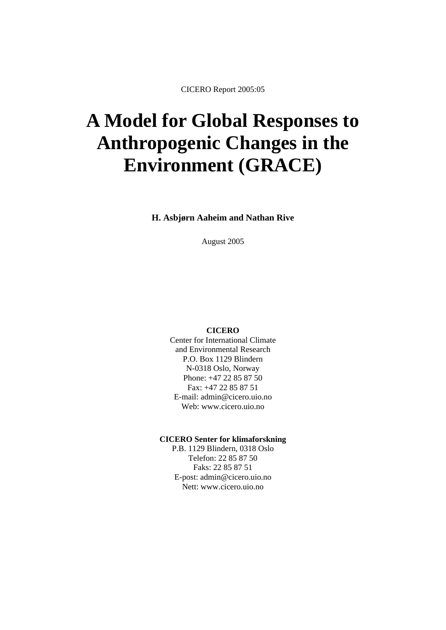CICERO Report 2005:05

# **A Model for Global Responses to Anthropogenic Changes in the Environment (GRACE)**

**H. Asbjørn Aaheim and Nathan Rive** 

August 2005

#### **CICERO**

Center for International Climate and Environmental Research P.O. Box 1129 Blindern N-0318 Oslo, Norway Phone: +47 22 85 87 50 Fax: +47 22 85 87 51 E-mail: admin@cicero.uio.no Web: www.cicero.uio.no

#### **CICERO Senter for klimaforskning**

P.B. 1129 Blindern, 0318 Oslo Telefon: 22 85 87 50 Faks: 22 85 87 51 E-post: admin@cicero.uio.no Nett: www.cicero.uio.no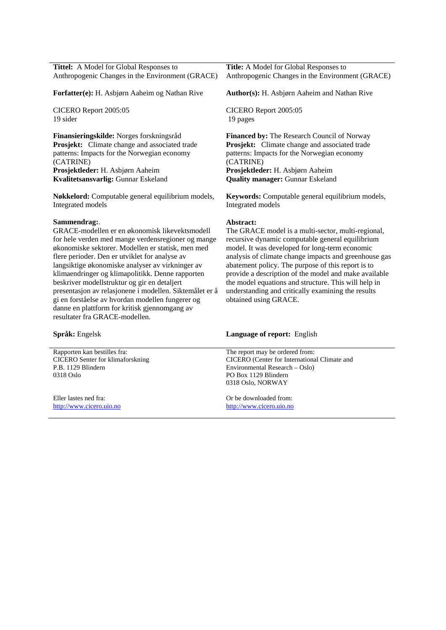| Tittel: A Model for Global Responses to                 | Title: A Model for Global Responses to                  |  |
|---------------------------------------------------------|---------------------------------------------------------|--|
| Anthropogenic Changes in the Environment (GRACE)        | Anthropogenic Changes in the Environment (GRACE)        |  |
| Forfatter(e): H. Asbjørn Aaheim og Nathan Rive          | <b>Author(s):</b> H. Asbjørn Aaheim and Nathan Rive     |  |
| CICERO Report 2005:05                                   | CICERO Report 2005:05                                   |  |
| 19 sider                                                | 19 pages                                                |  |
| Finansieringskilde: Norges forskningsråd                | Financed by: The Research Council of Norway             |  |
| <b>Prosjekt:</b> Climate change and associated trade    | Prosjekt: Climate change and associated trade           |  |
| patterns: Impacts for the Norwegian economy             | patterns: Impacts for the Norwegian economy             |  |
| (CATRINE)                                               | (CATRINE)                                               |  |
| Prosjektleder: H. Asbjørn Aaheim                        | Prosjektleder: H. Asbjørn Aaheim                        |  |
| Kvalitetsansvarlig: Gunnar Eskeland                     | <b>Quality manager: Gunnar Eskeland</b>                 |  |
| Nøkkelord: Computable general equilibrium models,       | <b>Keywords:</b> Computable general equilibrium models, |  |
| Integrated models                                       | Integrated models                                       |  |
| Sammendrag:.                                            | Abstract:                                               |  |
| GRACE-modellen er en økonomisk likevektsmodell          | The GRACE model is a multi-sector, multi-regional,      |  |
| for hele verden med mange verdensregioner og mange      | recursive dynamic computable general equilibrium        |  |
| økonomiske sektorer. Modellen er statisk, men med       | model. It was developed for long-term economic          |  |
| flere perioder. Den er utviklet for analyse av          | analysis of climate change impacts and greenhouse gas   |  |
| langsiktige økonomiske analyser av virkninger av        | abatement policy. The purpose of this report is to      |  |
| klimaendringer og klimapolitikk. Denne rapporten        | provide a description of the model and make available   |  |
| beskriver modellstruktur og gir en detaljert            | the model equations and structure. This will help in    |  |
| presentasjon av relasjonene i modellen. Siktemålet er å | understanding and critically examining the results      |  |
| gi en forståelse av hvordan modellen fungerer og        | obtained using GRACE.                                   |  |

| <b>Språk:</b> Engelsk                   | <b>Language of report:</b> English           |
|-----------------------------------------|----------------------------------------------|
| Rapporten kan bestilles fra:            | The report may be ordered from:              |
| <b>CICERO</b> Senter for klimaforskning | CICERO (Center for International Climate and |
| P.B. 1129 Blindern                      | Environmental Research – Oslo)               |
| 0318 Oslo                               | PO Box 1129 Blindern                         |
|                                         | 0318 Oslo, NORWAY                            |
| Eller lastes ned fra:                   | Or be downloaded from:                       |
| http://www.cicero.uio.no                | http://www.cicero.uio.no                     |

danne en plattform for kritisk gjennomgang av

resultater fra GRACE-modellen.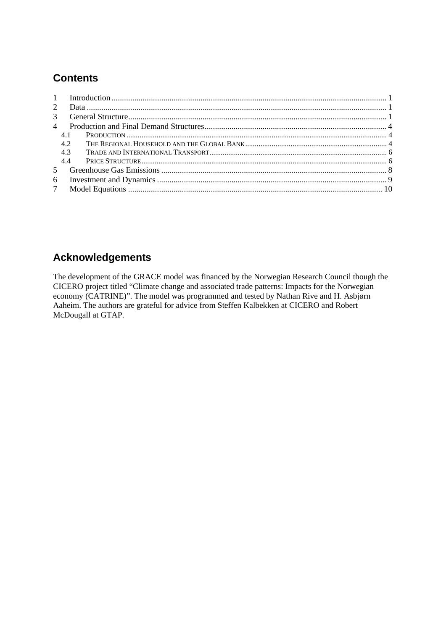# **Contents**

| 2 <sup>1</sup> |     |  |
|----------------|-----|--|
| $\mathcal{E}$  |     |  |
| $\overline{4}$ |     |  |
|                | 4.1 |  |
|                | 4.2 |  |
|                | 4.3 |  |
|                | 44  |  |
| 5 <sup>5</sup> |     |  |
| 6              |     |  |
|                |     |  |

# **Acknowledgements**

The development of the GRACE model was financed by the Norwegian Research Council though the CICERO project titled "Climate change and associated trade patterns: Impacts for the Norwegian economy (CATRINE)". The model was programmed and tested by Nathan Rive and H. Asbjørn Aaheim. The authors are grateful for advice from Steffen Kalbekken at CICERO and Robert McDougall at GTAP.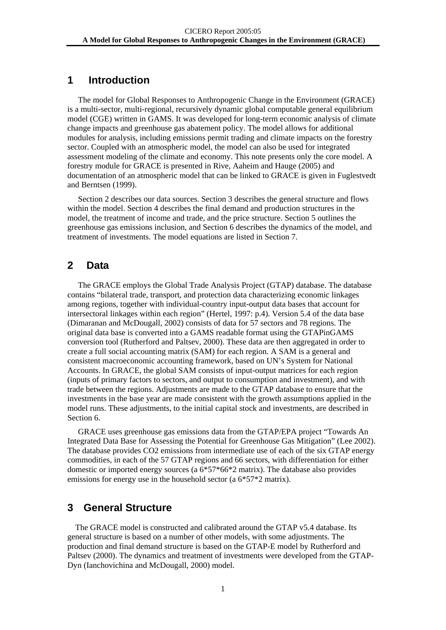### <span id="page-3-0"></span>**1 Introduction**

The model for Global Responses to Anthropogenic Change in the Environment (GRACE) is a multi-sector, multi-regional, recursively dynamic global computable general equilibrium model (CGE) written in GAMS. It was developed for long-term economic analysis of climate change impacts and greenhouse gas abatement policy. The model allows for additional modules for analysis, including emissions permit trading and climate impacts on the forestry sector. Coupled with an atmospheric model, the model can also be used for integrated assessment modeling of the climate and economy. This note presents only the core model. A forestry module for GRACE is presented in Rive, Aaheim and Hauge (2005) and documentation of an atmospheric model that can be linked to GRACE is given in Fuglestvedt and Berntsen (1999).

Section 2 describes our data sources. Section 3 describes the general structure and flows within the model. Section 4 describes the final demand and production structures in the model, the treatment of income and trade, and the price structure. Section 5 outlines the greenhouse gas emissions inclusion, and Section 6 describes the dynamics of the model, and treatment of investments. The model equations are listed in Section 7.

# **2 Data**

The GRACE employs the Global Trade Analysis Project (GTAP) database. The database contains "bilateral trade, transport, and protection data characterizing economic linkages among regions, together with individual-country input-output data bases that account for intersectoral linkages within each region" (Hertel, 1997: p.4). Version 5.4 of the data base (Dimaranan and McDougall, 2002) consists of data for 57 sectors and 78 regions. The original data base is converted into a GAMS readable format using the GTAPinGAMS conversion tool (Rutherford and Paltsev, 2000). These data are then aggregated in order to create a full social accounting matrix (SAM) for each region. A SAM is a general and consistent macroeconomic accounting framework, based on UN's System for National Accounts. In GRACE, the global SAM consists of input-output matrices for each region (inputs of primary factors to sectors, and output to consumption and investment), and with trade between the regions. Adjustments are made to the GTAP database to ensure that the investments in the base year are made consistent with the growth assumptions applied in the model runs. These adjustments, to the initial capital stock and investments, are described in Section 6.

GRACE uses greenhouse gas emissions data from the GTAP/EPA project "Towards An Integrated Data Base for Assessing the Potential for Greenhouse Gas Mitigation" (Lee 2002). The database provides CO2 emissions from intermediate use of each of the six GTAP energy commodities, in each of the 57 GTAP regions and 66 sectors, with differentiation for either domestic or imported energy sources (a 6\*57\*66\*2 matrix). The database also provides emissions for energy use in the household sector (a  $6*57*2$  matrix).

# **3 General Structure**

The GRACE model is constructed and calibrated around the GTAP v5.4 database. Its general structure is based on a number of other models, with some adjustments. The production and final demand structure is based on the GTAP-E model by Rutherford and Paltsev (2000). The dynamics and treatment of investments were developed from the GTAP-Dyn (Ianchovichina and McDougall, 2000) model.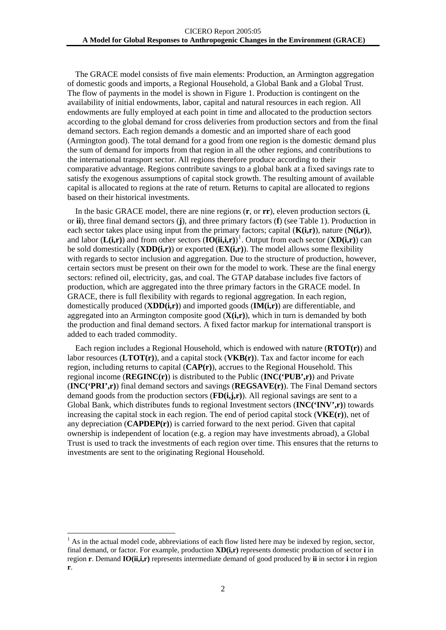The GRACE model consists of five main elements: Production, an Armington aggregation of domestic goods and imports, a Regional Household, a Global Bank and a Global Trust. The flow of payments in the model is shown in Figure 1. Production is contingent on the availability of initial endowments, labor, capital and natural resources in each region. All endowments are fully employed at each point in time and allocated to the production sectors according to the global demand for cross deliveries from production sectors and from the final demand sectors. Each region demands a domestic and an imported share of each good (Armington good). The total demand for a good from one region is the domestic demand plus the sum of demand for imports from that region in all the other regions, and contributions to the international transport sector. All regions therefore produce according to their comparative advantage. Regions contribute savings to a global bank at a fixed savings rate to satisfy the exogenous assumptions of capital stock growth. The resulting amount of available capital is allocated to regions at the rate of return. Returns to capital are allocated to regions based on their historical investments.

In the basic GRACE model, there are nine regions (**r**, or **rr**), eleven production sectors (**i**, or **ii**), three final demand sectors (**j**), and three primary factors (**f**) (see Table 1). Production in each sector takes place using input from the primary factors; capital (**K(i,r)**), nature (**N(i,r)**), and labor  $(L(i,r))$  and from other sectors  $(IO(ii,i,r))$ <sup>[1](#page-4-0)</sup>. Output from each sector  $(XD(i,r))$  can be sold domestically (**XDD(i,r)**) or exported (**EX(i,r)**). The model allows some flexibility with regards to sector inclusion and aggregation. Due to the structure of production, however, certain sectors must be present on their own for the model to work. These are the final energy sectors: refined oil, electricity, gas, and coal. The GTAP database includes five factors of production, which are aggregated into the three primary factors in the GRACE model. In GRACE, there is full flexibility with regards to regional aggregation. In each region, domestically produced (**XDD(i,r)**) and imported goods (**IM(i,r)**) are differentiable, and aggregated into an Armington composite good (**X(i,r)**), which in turn is demanded by both the production and final demand sectors. A fixed factor markup for international transport is added to each traded commodity.

Each region includes a Regional Household, which is endowed with nature (**RTOT(r)**) and labor resources (**LTOT(r)**), and a capital stock (**VKB(r)**). Tax and factor income for each region, including returns to capital (**CAP(r)**), accrues to the Regional Household. This regional income (**REGINC(r)**) is distributed to the Public (**INC('PUB',r)**) and Private (**INC('PRI',r)**) final demand sectors and savings (**REGSAVE(r)**). The Final Demand sectors demand goods from the production sectors (**FD(i,j,r)**). All regional savings are sent to a Global Bank, which distributes funds to regional Investment sectors (**INC('INV',r)**) towards increasing the capital stock in each region. The end of period capital stock (**VKE(r)**), net of any depreciation (**CAPDEP(r)**) is carried forward to the next period. Given that capital ownership is independent of location (e.g. a region may have investments abroad), a Global Trust is used to track the investments of each region over time. This ensures that the returns to investments are sent to the originating Regional Household.

1

<span id="page-4-0"></span> $<sup>1</sup>$  As in the actual model code, abbreviations of each flow listed here may be indexed by region, sector,</sup> final demand, or factor. For example, production **XD(i,r)** represents domestic production of sector **i** in region **r**. Demand **IO(ii,i,r)** represents intermediate demand of good produced by **ii** in sector **i** in region **r**.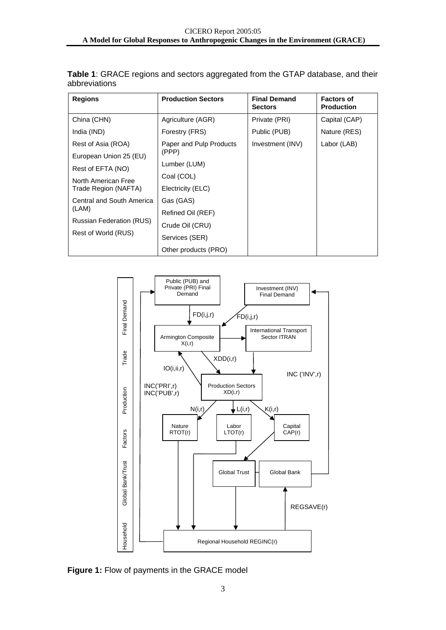| <b>Regions</b>                  | <b>Production Sectors</b> | <b>Final Demand</b><br><b>Sectors</b> | <b>Factors of</b><br><b>Production</b> |
|---------------------------------|---------------------------|---------------------------------------|----------------------------------------|
| China (CHN)                     | Agriculture (AGR)         | Private (PRI)                         | Capital (CAP)                          |
| India (IND)                     | Forestry (FRS)            | Public (PUB)                          | Nature (RES)                           |
| Rest of Asia (ROA)              | Paper and Pulp Products   | Investment (INV)                      | Labor (LAB)                            |
| European Union 25 (EU)          | (PPP)                     |                                       |                                        |
| Rest of EFTA (NO)               | Lumber (LUM)              |                                       |                                        |
| North American Free             | Coal (COL)                |                                       |                                        |
| Trade Region (NAFTA)            | Electricity (ELC)         |                                       |                                        |
| Central and South America       | Gas (GAS)                 |                                       |                                        |
| (LAM)                           | Refined Oil (REF)         |                                       |                                        |
| <b>Russian Federation (RUS)</b> | Crude Oil (CRU)           |                                       |                                        |
| Rest of World (RUS)             | Services (SER)            |                                       |                                        |
|                                 | Other products (PRO)      |                                       |                                        |

**Table 1**: GRACE regions and sectors aggregated from the GTAP database, and their abbreviations



**Figure 1:** Flow of payments in the GRACE model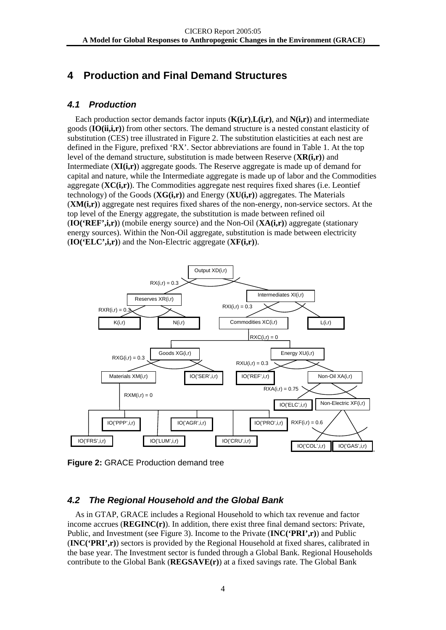# <span id="page-6-0"></span>**4 Production and Final Demand Structures**

### *4.1 Production*

Each production sector demands factor inputs (**K(i,r)**,**L(i,r)**, and **N(i,r)**) and intermediate goods (**IO(ii,i,r)**) from other sectors. The demand structure is a nested constant elasticity of substitution (CES) tree illustrated in Figure 2. The substitution elasticities at each nest are defined in the Figure, prefixed 'RX'. Sector abbreviations are found in Table 1. At the top level of the demand structure, substitution is made between Reserve (**XR(i,r)**) and Intermediate (**XI(i,r)**) aggregate goods. The Reserve aggregate is made up of demand for capital and nature, while the Intermediate aggregate is made up of labor and the Commodities aggregate (**XC(i,r)**). The Commodities aggregate nest requires fixed shares (i.e. Leontief technology) of the Goods (**XG(i,r)**) and Energy (**XU(i,r)**) aggregates. The Materials (**XM(i,r)**) aggregate nest requires fixed shares of the non-energy, non-service sectors. At the top level of the Energy aggregate, the substitution is made between refined oil (**IO('REF',i,r)**) (mobile energy source) and the Non-Oil (**XA(i,r)**) aggregate (stationary energy sources). Within the Non-Oil aggregate, substitution is made between electricity (**IO('ELC',i,r)**) and the Non-Electric aggregate (**XF(i,r)**).



**Figure 2:** GRACE Production demand tree

# *4.2 The Regional Household and the Global Bank*

As in GTAP, GRACE includes a Regional Household to which tax revenue and factor income accrues (**REGINC(r)**). In addition, there exist three final demand sectors: Private, Public, and Investment (see Figure 3). Income to the Private (**INC('PRI',r)**) and Public (**INC('PRI',r)**) sectors is provided by the Regional Household at fixed shares, calibrated in the base year. The Investment sector is funded through a Global Bank. Regional Households contribute to the Global Bank (**REGSAVE(r)**) at a fixed savings rate. The Global Bank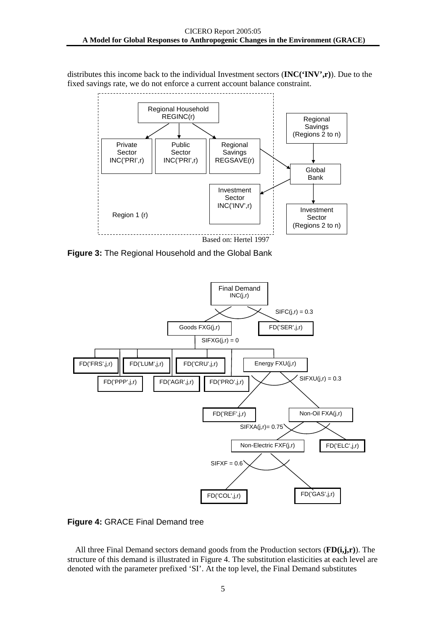distributes this income back to the individual Investment sectors (**INC('INV',r)**). Due to the fixed savings rate, we do not enforce a current account balance constraint.



**Figure 3:** The Regional Household and the Global Bank



**Figure 4:** GRACE Final Demand tree

All three Final Demand sectors demand goods from the Production sectors (**FD(i,j,r)**). The structure of this demand is illustrated in Figure 4. The substitution elasticities at each level are denoted with the parameter prefixed 'SI'. At the top level, the Final Demand substitutes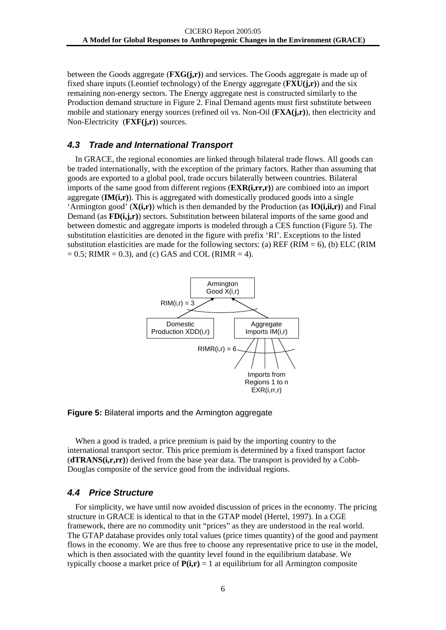<span id="page-8-0"></span>between the Goods aggregate (**FXG(j,r)**) and services. The Goods aggregate is made up of fixed share inputs (Leontief technology) of the Energy aggregate (**FXU(j,r)**) and the six remaining non-energy sectors. The Energy aggregate nest is constructed similarly to the Production demand structure in Figure 2. Final Demand agents must first substitute between mobile and stationary energy sources (refined oil vs. Non-Oil (**FXA(j,r)**), then electricity and Non-Electricity (**FXF(j,r)**) sources.

### *4.3 Trade and International Transport*

In GRACE, the regional economies are linked through bilateral trade flows. All goods can be traded internationally, with the exception of the primary factors. Rather than assuming that goods are exported to a global pool, trade occurs bilaterally between countries. Bilateral imports of the same good from different regions (**EXR(i,rr,r)**) are combined into an import aggregate (**IM(i,r)**). This is aggregated with domestically produced goods into a single 'Armington good' (**X(i,r)**) which is then demanded by the Production (as **IO(i,ii,r)**) and Final Demand (as **FD(i,j,r)**) sectors. Substitution between bilateral imports of the same good and between domestic and aggregate imports is modeled through a CES function (Figure 5). The substitution elasticities are denoted in the figure with prefix 'RI'. Exceptions to the listed substitution elasticities are made for the following sectors: (a) REF (RIM = 6), (b) ELC (RIM  $= 0.5$ ; RIMR  $= 0.3$ ), and (c) GAS and COL (RIMR  $= 4$ ).



#### **Figure 5:** Bilateral imports and the Armington aggregate

When a good is traded, a price premium is paid by the importing country to the international transport sector. This price premium is determined by a fixed transport factor (**dTRANS(i,r,rr)**) derived from the base year data. The transport is provided by a Cobb-Douglas composite of the service good from the individual regions.

#### *4.4 Price Structure*

For simplicity, we have until now avoided discussion of prices in the economy. The pricing structure in GRACE is identical to that in the GTAP model (Hertel, 1997). In a CGE framework, there are no commodity unit "prices" as they are understood in the real world. The GTAP database provides only total values (price times quantity) of the good and payment flows in the economy. We are thus free to choose any representative price to use in the model, which is then associated with the quantity level found in the equilibrium database. We typically choose a market price of  $P(i,r) = 1$  at equilibrium for all Armington composite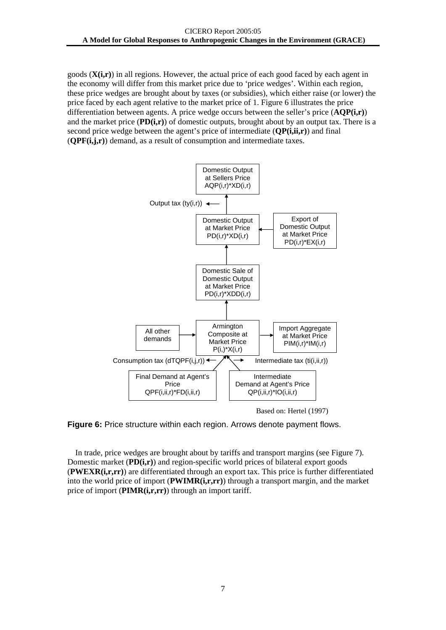goods (**X(i,r)**) in all regions. However, the actual price of each good faced by each agent in the economy will differ from this market price due to 'price wedges'. Within each region, these price wedges are brought about by taxes (or subsidies), which either raise (or lower) the price faced by each agent relative to the market price of 1. Figure 6 illustrates the price differentiation between agents. A price wedge occurs between the seller's price (**AQP(i,r)**) and the market price (**PD(i,r)**) of domestic outputs, brought about by an output tax. There is a second price wedge between the agent's price of intermediate (**QP(i,ii,r)**) and final (**QPF(i,j,r)**) demand, as a result of consumption and intermediate taxes.



Based on: Hertel (1997)

**Figure 6:** Price structure within each region. Arrows denote payment flows.

In trade, price wedges are brought about by tariffs and transport margins (see Figure 7). Domestic market (**PD(i,r)**) and region-specific world prices of bilateral export goods (**PWEXR(i,r,rr)**) are differentiated through an export tax. This price is further differentiated into the world price of import (**PWIMR(i,r,rr)**) through a transport margin, and the market price of import (**PIMR(i,r,rr)**) through an import tariff.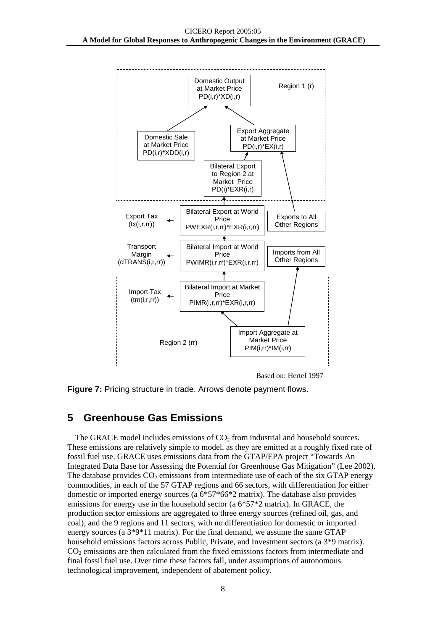<span id="page-10-0"></span>

**Figure 7:** Pricing structure in trade. Arrows denote payment flows.

# **5 Greenhouse Gas Emissions**

The GRACE model includes emissions of  $CO<sub>2</sub>$  from industrial and household sources. These emissions are relatively simple to model, as they are emitted at a roughly fixed rate of fossil fuel use. GRACE uses emissions data from the GTAP/EPA project "Towards An Integrated Data Base for Assessing the Potential for Greenhouse Gas Mitigation" (Lee 2002). The database provides  $CO<sub>2</sub>$  emissions from intermediate use of each of the six GTAP energy commodities, in each of the 57 GTAP regions and 66 sectors, with differentiation for either domestic or imported energy sources (a  $6*57*66*2$  matrix). The database also provides emissions for energy use in the household sector (a 6\*57\*2 matrix). In GRACE, the production sector emissions are aggregated to three energy sources (refined oil, gas, and coal), and the 9 regions and 11 sectors, with no differentiation for domestic or imported energy sources (a 3\*9\*11 matrix). For the final demand, we assume the same GTAP household emissions factors across Public, Private, and Investment sectors (a 3\*9 matrix). CO<sub>2</sub> emissions are then calculated from the fixed emissions factors from intermediate and final fossil fuel use. Over time these factors fall, under assumptions of autonomous technological improvement, independent of abatement policy.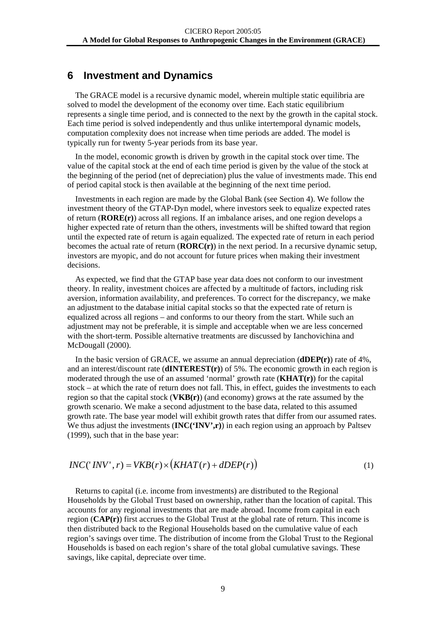# <span id="page-11-0"></span>**6 Investment and Dynamics**

The GRACE model is a recursive dynamic model, wherein multiple static equilibria are solved to model the development of the economy over time. Each static equilibrium represents a single time period, and is connected to the next by the growth in the capital stock. Each time period is solved independently and thus unlike intertemporal dynamic models, computation complexity does not increase when time periods are added. The model is typically run for twenty 5-year periods from its base year.

In the model, economic growth is driven by growth in the capital stock over time. The value of the capital stock at the end of each time period is given by the value of the stock at the beginning of the period (net of depreciation) plus the value of investments made. This end of period capital stock is then available at the beginning of the next time period.

Investments in each region are made by the Global Bank (see Section 4). We follow the investment theory of the GTAP-Dyn model, where investors seek to equalize expected rates of return (**RORE(r)**) across all regions. If an imbalance arises, and one region develops a higher expected rate of return than the others, investments will be shifted toward that region until the expected rate of return is again equalized. The expected rate of return in each period becomes the actual rate of return (**RORC(r)**) in the next period. In a recursive dynamic setup, investors are myopic, and do not account for future prices when making their investment decisions.

As expected, we find that the GTAP base year data does not conform to our investment theory. In reality, investment choices are affected by a multitude of factors, including risk aversion, information availability, and preferences. To correct for the discrepancy, we make an adjustment to the database initial capital stocks so that the expected rate of return is equalized across all regions – and conforms to our theory from the start. While such an adjustment may not be preferable, it is simple and acceptable when we are less concerned with the short-term. Possible alternative treatments are discussed by Ianchovichina and McDougall (2000).

In the basic version of GRACE, we assume an annual depreciation (**dDEP(r)**) rate of 4%, and an interest/discount rate (**dINTEREST(r)**) of 5%. The economic growth in each region is moderated through the use of an assumed 'normal' growth rate (**KHAT(r)**) for the capital stock – at which the rate of return does not fall. This, in effect, guides the investments to each region so that the capital stock (**VKB(r)**) (and economy) grows at the rate assumed by the growth scenario. We make a second adjustment to the base data, related to this assumed growth rate. The base year model will exhibit growth rates that differ from our assumed rates. We thus adjust the investments  $(\mathbf{INC}(\mathbf{`INV}',\mathbf{r}))$  in each region using an approach by Paltsev (1999), such that in the base year:

$$
INC('INV', r) = VKB(r) \times (KHAT(r) + dDEP(r))
$$
\n<sup>(1)</sup>

Returns to capital (i.e. income from investments) are distributed to the Regional Households by the Global Trust based on ownership, rather than the location of capital. This accounts for any regional investments that are made abroad. Income from capital in each region (**CAP(r)**) first accrues to the Global Trust at the global rate of return. This income is then distributed back to the Regional Households based on the cumulative value of each region's savings over time. The distribution of income from the Global Trust to the Regional Households is based on each region's share of the total global cumulative savings. These savings, like capital, depreciate over time.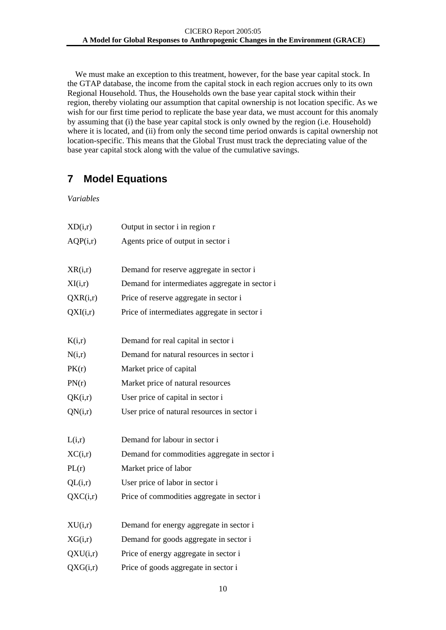<span id="page-12-0"></span>We must make an exception to this treatment, however, for the base year capital stock. In the GTAP database, the income from the capital stock in each region accrues only to its own Regional Household. Thus, the Households own the base year capital stock within their region, thereby violating our assumption that capital ownership is not location specific. As we wish for our first time period to replicate the base year data, we must account for this anomaly by assuming that (i) the base year capital stock is only owned by the region (i.e. Household) where it is located, and (ii) from only the second time period onwards is capital ownership not location-specific. This means that the Global Trust must track the depreciating value of the base year capital stock along with the value of the cumulative savings.

# **7 Model Equations**

*Variables*

| XD(i,r)  | Output in sector i in region r                 |
|----------|------------------------------------------------|
| AQP(i,r) | Agents price of output in sector i             |
| XR(i,r)  | Demand for reserve aggregate in sector i       |
| XI(i,r)  | Demand for intermediates aggregate in sector i |
| QXR(i,r) | Price of reserve aggregate in sector i         |
| QXI(i,r) | Price of intermediates aggregate in sector i   |
| K(i,r)   | Demand for real capital in sector i            |
| N(i,r)   | Demand for natural resources in sector i       |
| PK(r)    | Market price of capital                        |
| PN(r)    | Market price of natural resources              |
| QK(i,r)  | User price of capital in sector i              |
| QN(i,r)  | User price of natural resources in sector i    |
| L(i,r)   | Demand for labour in sector i                  |
| XC(i,r)  | Demand for commodities aggregate in sector i   |
| PL(r)    | Market price of labor                          |
| QL(i,r)  | User price of labor in sector i                |
| QXC(i,r) | Price of commodities aggregate in sector i     |
| XU(i,r)  | Demand for energy aggregate in sector i        |
| XG(i,r)  | Demand for goods aggregate in sector i         |
| QXU(i,r) | Price of energy aggregate in sector i          |
| QXG(i,r) | Price of goods aggregate in sector i           |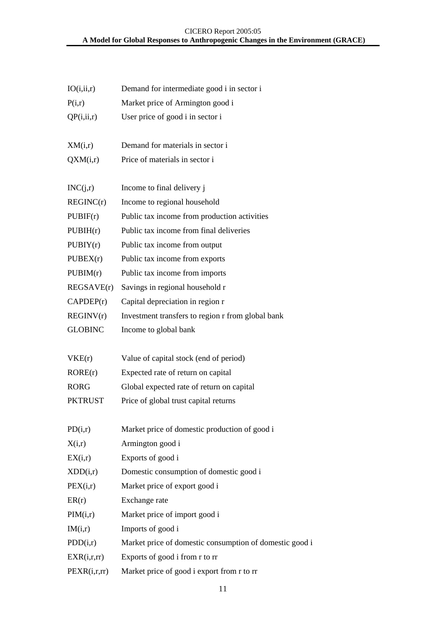#### CICERO Report 2005:05 **A Model for Global Responses to Anthropogenic Changes in the Environment (GRACE)**

| IO(i, ii, r)   | Demand for intermediate good i in sector i              |
|----------------|---------------------------------------------------------|
| P(i,r)         | Market price of Armington good i                        |
| QP(i, ii, r)   | User price of good i in sector i                        |
| XM(i,r)        | Demand for materials in sector i                        |
| QXM(i,r)       | Price of materials in sector i                          |
| INC(j,r)       | Income to final delivery j                              |
| REGINC(r)      | Income to regional household                            |
| PUBIF(r)       | Public tax income from production activities            |
| PUBIH(r)       | Public tax income from final deliveries                 |
| PUBIY(r)       | Public tax income from output                           |
| PUBEX(r)       | Public tax income from exports                          |
| PUBIM(r)       | Public tax income from imports                          |
| REGSAVE(r)     | Savings in regional household r                         |
| CAPDEP(r)      | Capital depreciation in region r                        |
| REGINV(r)      | Investment transfers to region r from global bank       |
| <b>GLOBINC</b> | Income to global bank                                   |
| VKE(r)         | Value of capital stock (end of period)                  |
| RORE(r)        | Expected rate of return on capital                      |
| RORG           | Global expected rate of return on capital               |
| PKTRUST        | Price of global trust capital returns                   |
| PD(i,r)        | Market price of domestic production of good i           |
| X(i,r)         | Armington good i                                        |
| EX(i,r)        | Exports of good i                                       |
| XDD(i,r)       | Domestic consumption of domestic good i                 |
| PEX(i,r)       | Market price of export good i                           |
| ER(r)          | Exchange rate                                           |
| PIM(i,r)       | Market price of import good i                           |
| IM(i,r)        | Imports of good i                                       |
| PDD(i,r)       | Market price of domestic consumption of domestic good i |
| EXR(i,r,rr)    | Exports of good i from r to rr                          |
| PEXR(i,r,rr)   | Market price of good i export from r to rr              |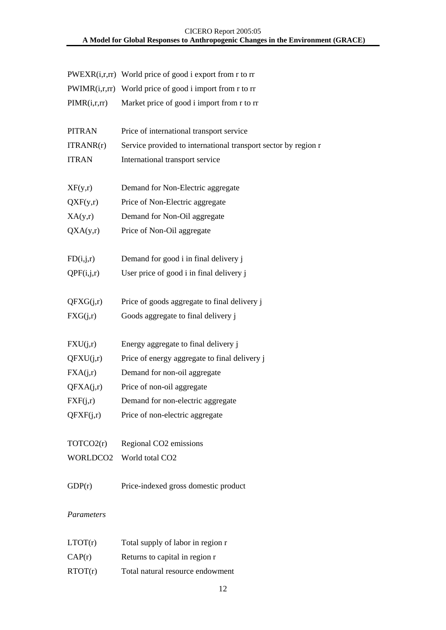#### CICERO Report 2005:05 **A Model for Global Responses to Anthropogenic Changes in the Environment (GRACE)**

|                   | $PWEXR(i,r,r)$ World price of good i export from r to rr       |
|-------------------|----------------------------------------------------------------|
|                   | $PWIMR(i,r,rr)$ World price of good i import from r to rr      |
| PIMR(i,r,rr)      | Market price of good i import from r to rr                     |
|                   |                                                                |
| <b>PITRAN</b>     | Price of international transport service                       |
| ITRANK(r)         | Service provided to international transport sector by region r |
| <b>ITRAN</b>      | International transport service                                |
|                   |                                                                |
| XF(y,r)           | Demand for Non-Electric aggregate                              |
| QXF(y,r)          | Price of Non-Electric aggregate                                |
| XA(y,r)           | Demand for Non-Oil aggregate                                   |
| QXA(y,r)          | Price of Non-Oil aggregate                                     |
|                   |                                                                |
| FD(i,j,r)         | Demand for good i in final delivery j                          |
| QPF(i,j,r)        | User price of good i in final delivery j                       |
|                   |                                                                |
| QFXG(j,r)         | Price of goods aggregate to final delivery j                   |
| FXG(j,r)          | Goods aggregate to final delivery j                            |
| FXU(j,r)          | Energy aggregate to final delivery j                           |
| QFXU(j,r)         | Price of energy aggregate to final delivery j                  |
| $\text{FXA}(j,r)$ | Demand for non-oil aggregate                                   |
| QFXA(j,r)         | Price of non-oil aggregate                                     |
| FXF(j,r)          | Demand for non-electric aggregate                              |
|                   | $QFXF(j,r)$ Price of non-electric aggregate                    |
|                   |                                                                |
| TOTCO2(r)         | Regional CO2 emissions                                         |
| WORLDCO2          | World total CO <sub>2</sub>                                    |
| GDP(r)            | Price-indexed gross domestic product                           |
|                   |                                                                |
| Parameters        |                                                                |

| LTOT(r) | Total supply of labor in region r |
|---------|-----------------------------------|
| CAP(r)  | Returns to capital in region r    |
| RTOT(r) | Total natural resource endowment  |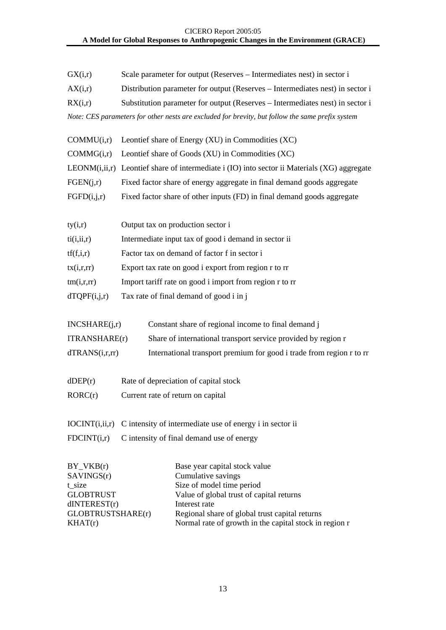#### CICERO Report 2005:05 **A Model for Global Responses to Anthropogenic Changes in the Environment (GRACE)**

| GX(i,r)                                                                 | Scale parameter for output (Reserves – Intermediates nest) in sector i                                                                        |
|-------------------------------------------------------------------------|-----------------------------------------------------------------------------------------------------------------------------------------------|
| AX(i,r)                                                                 | Distribution parameter for output (Reserves – Intermediates nest) in sector i                                                                 |
| RX(i,r)                                                                 | Substitution parameter for output (Reserves - Intermediates nest) in sector i                                                                 |
|                                                                         | Note: CES parameters for other nests are excluded for brevity, but follow the same prefix system                                              |
| COMMU(i,r)                                                              | Leontief share of Energy (XU) in Commodities (XC)                                                                                             |
| COMMG(i,r)                                                              | Leontief share of Goods (XU) in Commodities (XC)                                                                                              |
|                                                                         | LEONM(i,ii,r) Leontief share of intermediate i (IO) into sector ii Materials (XG) aggregate                                                   |
| FGEN(j,r)                                                               | Fixed factor share of energy aggregate in final demand goods aggregate                                                                        |
| FGFD(i,j,r)                                                             | Fixed factor share of other inputs (FD) in final demand goods aggregate                                                                       |
| ty(i,r)                                                                 | Output tax on production sector i                                                                                                             |
| ti(i, ii, r)                                                            | Intermediate input tax of good i demand in sector ii                                                                                          |
| tf(f,i,r)                                                               | Factor tax on demand of factor f in sector i                                                                                                  |
| tx(i,r,rr)                                                              | Export tax rate on good i export from region r to rr                                                                                          |
| tm(i,r,rr)                                                              | Import tariff rate on good i import from region r to rr                                                                                       |
| dTQPF(i,j,r)                                                            | Tax rate of final demand of good i in j                                                                                                       |
| INCSHARE(j,r)                                                           | Constant share of regional income to final demand j                                                                                           |
| <b>ITRANSHARE(r)</b>                                                    | Share of international transport service provided by region r                                                                                 |
| dTRANS(i,r,r)                                                           | International transport premium for good i trade from region r to rr                                                                          |
| $d$ DEP $(r)$                                                           | Rate of depreciation of capital stock                                                                                                         |
| RORC(r)                                                                 | Current rate of return on capital                                                                                                             |
| IOCINT(i, ii, r)                                                        | C intensity of intermediate use of energy i in sector ii                                                                                      |
| FDCINT(i,r)                                                             | C intensity of final demand use of energy                                                                                                     |
| $BY_VKB(r)$<br>SAVINGS(r)<br>t_size<br><b>GLOBTRUST</b><br>dINTEREST(r) | Base year capital stock value<br>Cumulative savings<br>Size of model time period<br>Value of global trust of capital returns<br>Interest rate |

GLOBTRUSTSHARE(r) Regional share of global trust capital returns

 $KHAT(r)$  Normal rate of growth in the capital stock in region r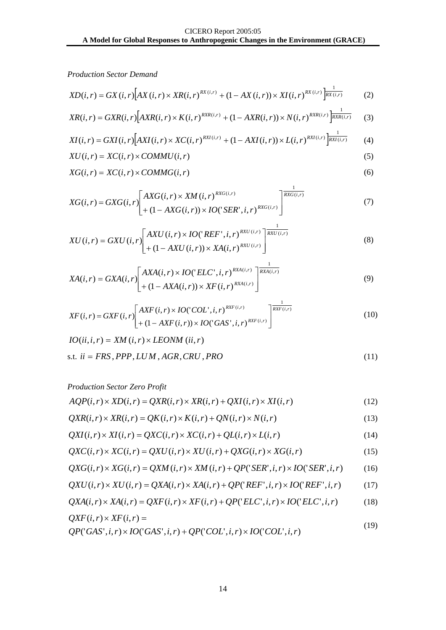*Production Sector Demand*

$$
XD(i,r) = GX(i,r)[AX(i,r) \times XR(i,r)^{RX(i,r)} + (1 - AX(i,r)) \times XI(i,r)^{RX(i,r)}\overline{\bigg|_{RX(i,r)}}
$$
 (2)

$$
XR(i, r) = GXR(i, r) \Big[ AXR(i, r) \times K(i, r)^{RXR(i, r)} + (1 - AXR(i, r)) \times N(i, r)^{RXR(i, r)} \Big]_{RXR(i, r)}^{\frac{1}{RXR(i, r)}} \tag{3}
$$

$$
XI(i,r) = GXI(i,r)\Big[AXI(i,r) \times XC(i,r)\Big]^{RXI(i,r)} + (1 - AXI(i,r)) \times L(i,r)\Big]^{\frac{1}{RXI(i,r)}}\tag{4}
$$

$$
XU(i,r) = XC(i,r) \times \text{COMMU}(i,r) \tag{5}
$$

$$
XG(i,r) = XC(i,r) \times COMMG(i,r)
$$
\n<sup>(6)</sup>

$$
XG(i,r) = GXG(i,r)\left[\begin{aligned} AXG(i,r) \times XM(i,r) \times \text{X}M(i,r) \times \text{X}G(i,r) \\ + (1 - AXG(i,r)) \times \text{IO}(\text{SER}^*, i, r) \times \text{R}G(i,r) \end{aligned}\right] \qquad (7)
$$

$$
XU(i,r) = GXU(i,r) \left[ \begin{array}{c} AXU(i,r) \times IO('REF',i,r) \times \frac{1}{RXU(i,r)} \\ + (1 - AXU(i,r)) \times XA(i,r) \times \frac{RXU(i,r)}{XU(i,r)} \end{array} \right] \tag{8}
$$

$$
XA(i,r) = GXA(i,r) \left[ \frac{AXA(i,r) \times IO('ELC', i, r)^{RXA(i,r)}}{+ (1 - AXA(i,r)) \times XF(i,r)^{RXA(i,r)}} \right]^{1}
$$
\n(9)

$$
XF(i, r) = GXF(i, r) \left[ \frac{AXF(i, r) \times IO('COL', i, r)^{RXF(i, r)} \times I}{+ (1 - AXF(i, r)) \times IO('GAS', i, r)^{RXF(i, r)}} \right] \xrightarrow{\frac{1}{RXF(i, r)}} \tag{10}
$$

 $IO(ii,i,r) = XM(i,r) \times LEONM(ii,r)$ 

$$
s.t. \, ii = FRS, PPP, LUM, AGR, CRU, PRO \tag{11}
$$

*Production Sector Zero Profit* 

$$
AQP(i,r) \times \text{XD}(i,r) = Q\text{XR}(i,r) \times \text{XR}(i,r) + Q\text{XI}(i,r) \times \text{XI}(i,r) \tag{12}
$$

$$
QXR(i, r) \times XR(i, r) = QK(i, r) \times K(i, r) + QN(i, r) \times N(i, r)
$$
\n(13)

$$
QXI(i,r) \times XI(i,r) = QXC(i,r) \times XC(i,r) + QL(i,r) \times L(i,r)
$$
\n(14)

$$
QXC(i,r) \times XC(i,r) = QXU(i,r) \times XU(i,r) + QXG(i,r) \times XG(i,r)
$$
\n<sup>(15)</sup>

$$
QXG(i,r) \times XG(i,r) = QXM(i,r) \times XM(i,r) + QP('SER',i,r) \times IO('SER',i,r)
$$
 (16)

$$
QXU(i,r) \times XU(i,r) = QXA(i,r) \times XA(i,r) + QP("REF", i, r) \times IO("REF", i, r)
$$
\n
$$
(17)
$$

$$
QXA(i,r) \times XA(i,r) = QXF(i,r) \times XF(i,r) + QP('ELC',i,r) \times IO('ELC',i,r)
$$
\n(18)

$$
QXF(i,r) \times XF(i,r) =
$$
\n(19)

$$
QP('GAS', i, r) \times IO('GAS', i, r) + QP('COL', i, r) \times IO('COL', i, r)
$$
\n<sup>(19)</sup>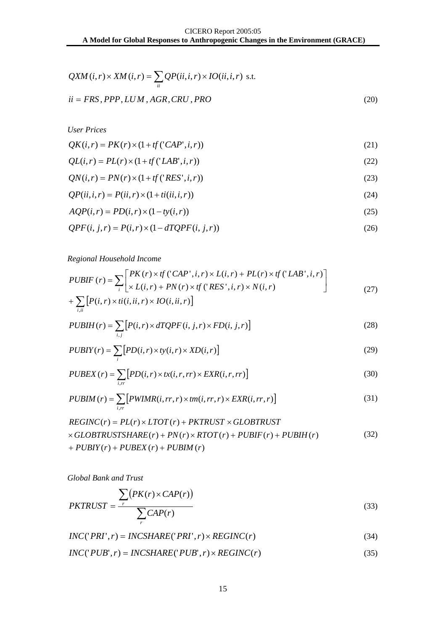$$
QXM(i,r) \times XM(i,r) = \sum_{ii} QP(ii,i,r) \times IO(ii,i,r) \text{ s.t.}
$$
  
ii = FRS, PPP, LUM, AGR, CRU, PRO (20)

*User Prices* 

$$
QK(i,r) = PK(r) \times (1 + tf('CAP', i, r))
$$
\n(21)

$$
QL(i, r) = PL(r) \times (1 + tf('LAB', i, r))
$$
\n(22)

$$
QN(i,r) = PN(r) \times (1 + tf(\text{RES}', i, r))
$$
\n(23)

$$
QP(ii,i,r) = P(ii,r) \times (1+ti(ii,i,r))
$$
\n(24)

$$
AQP(i,r) = PD(i,r) \times (1 - ty(i,r))
$$
\n<sup>(25)</sup>

$$
QPF(i, j, r) = P(i, r) \times (1 - dTQPF(i, j, r))
$$
\n<sup>(26)</sup>

#### *Regional Household Income*

$$
PUBIF(r) = \sum_{i} \left[ \frac{PK(r) \times tf(CAP', i, r) \times L(i, r) + PL(r) \times tf(LAB', i, r)}{\times L(i, r) + PN(r) \times tf(TRES', i, r) \times N(i, r)} \right]
$$
(27)

$$
+\sum_{i,ii}\big[P(i,r)\times ii(i,ii,r)\times IO(i,ii,r)\big]
$$

$$
PUBIH(r) = \sum_{i,j} \left[ P(i,r) \times dTQPF(i,j,r) \times FD(i,j,r) \right]
$$
\n(28)

$$
PUBXY(r) = \sum_{i} \left[ PD(i, r) \times ty(i, r) \times XD(i, r) \right]
$$
\n(29)

$$
PUBEX(r) = \sum_{i,r} [PD(i,r) \times tx(i,r,rr) \times EXR(i,r,rr)] \tag{30}
$$

$$
PUBIM(r) = \sum_{i,r} \left[ PWIMR(i,rr,r) \times tm(i,rr,r) \times EXP(i,rr,r) \right]
$$
\n(31)

$$
REGINC(r) = PL(r) \times LTOT(r) + PKTRUST \times GLOBTRUST
$$
  
× GLOBTRUSTSHARE(r) + PN(r) × RTOT(r) + PUBIF(r) + PUBIH(r) (32)  
+ PUBIY(r) + PUBEX(r) + PUBIM(r)

*Global Bank and Trust*

$$
PKTRUST = \frac{\sum_{r} (PK(r) \times CAP(r))}{\sum_{r} CAP(r)}
$$
\n(33)

$$
INC('PRI', r) = INCSHARE('PRI', r) \times REGINC(r)
$$
\n(34)

$$
INC('PUB', r) = INCSHARE('PUB', r) \times REGINC(r)
$$
\n(35)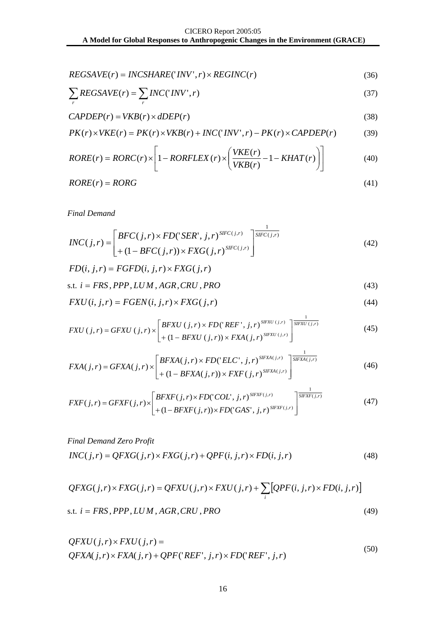$$
REGSAVE(r) = INCSHARE('INV', r) \times REGINC(r)
$$
\n(36)

$$
\sum_{r} REGSAVE(r) = \sum_{r} INC('INV', r)
$$
\n(37)

$$
CAPDEP(r) = VKB(r) \times dDEP(r)
$$
\n(38)

$$
PK(r) \times VKE(r) = PK(r) \times VKB(r) + INC('INV', r) - PK(r) \times CAPDEP(r)
$$
 (39)

$$
RORE(r) = RORC(r) \times \left[1 - RORFLEX(r) \times \left(\frac{VKE(r)}{VKB(r)} - 1 - KHAT(r)\right)\right]
$$
(40)

$$
RORE(r) = RORG \tag{41}
$$

*Final Demand*

$$
INC(j,r) = \begin{bmatrix} BFC(j,r) \times FD('SER', j,r)^{SIFC(j,r)} \\ + (1 - BFC(j,r)) \times FXG(j,r)^{SIFC(j,r)} \end{bmatrix}^{\frac{1}{SIFC(j,r)}}
$$
(42)

$$
FD(i, j, r) = FGFD(i, j, r) \times FXG(j, r)
$$

$$
s.t. i = FRS, PPP, LUM, AGR, CRU, PRO
$$
\n
$$
(43)
$$

$$
FXU(i, j, r) = FGEN(i, j, r) \times FXG(j, r)
$$
\n
$$
(44)
$$

$$
FXU(j,r) = GFXU(j,r) \times \left[\begin{matrix}BFXU(j,r) \times FD('REF',j,r)^{SIFXU(j,r)} \\ + (1-BFXU(j,r)) \times FXA(j,r) \end{matrix}\right]^{\frac{1}{SIFXU(j,r)}}\tag{45}
$$

$$
FXA(j,r) = GFXA(j,r) \times \begin{bmatrix} BFXA(j,r) \times FD('ELC', j,r)^{SIFXA(j,r)} \\ + (1 - BFXA(j,r)) \times FXF(j,r)^{SIFXA(j,r)} \end{bmatrix}^{\frac{1}{SIFXA(j,r)}} \tag{46}
$$

$$
FXF(j,r) = GFXF(j,r) \times \left[\begin{matrix} BFXF(j,r) \times FD('COL', j,r)^{SIFXF(j,r)} \\ + (1 - BFXF(j,r)) \times FD('GAS', j,r)^{SIFXF(j,r)} \end{matrix}\right]^{\frac{1}{SIFXF(j,r)}}
$$
(47)

*Final Demand Zero Profit*  $INC(j,r) = QFXG(j,r) \times FXG(j,r) + QPF(i,j,r) \times FD(i,j,r)$  (48)

$$
QFXG(j,r) \times FXG(j,r) = QFXU(j,r) \times FXU(j,r) + \sum_{i} [QPF(i,j,r) \times FD(i,j,r)]
$$
  
s.t.  $i = FRS, PPP, LUM, AGR, CRU, PRO$  (49)

$$
QFXU(j,r) \times FXU(j,r) =
$$
  
QFXA(j,r) \times FXA(j,r) + QPF('REF', j,r) \times FD('REF', j,r) (50)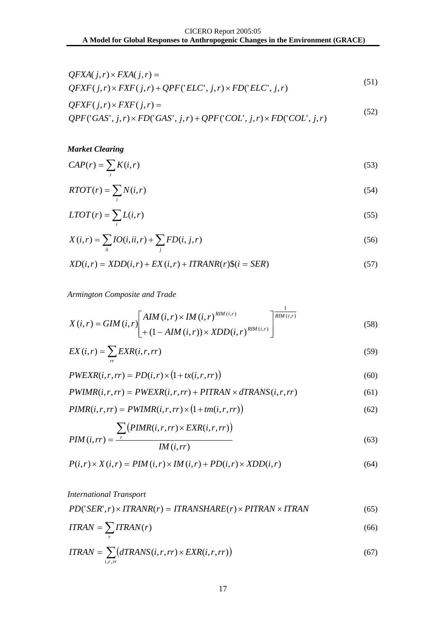$$
QFXA(j,r) \times FXA(j,r) =
$$
  
QFXF(j,r) \times FXF(j,r) + QPF('ELC', j,r) \times FD('ELC', j,r) (51)

$$
QFXF(j,r) \times FXF(j,r) =
$$
  
QPF('GAS', j,r) \times FD('GAS', j,r) + QPF('COL', j,r) \times FD('COL', j,r) (52)

*Market Clearing*

$$
CAP(r) = \sum_{i} K(i, r) \tag{53}
$$

$$
RTOT(r) = \sum_{i} N(i, r) \tag{54}
$$

$$
LTOT(r) = \sum_{i} L(i,r) \tag{55}
$$

$$
X(i,r) = \sum_{ii} IO(i,ii,r) + \sum_{j} FD(i,j,r)
$$
\n
$$
(56)
$$

$$
XD(i, r) = XDD(i, r) + EX(i, r) + ITRANR(r)\$(i = SER)
$$
\n
$$
(57)
$$

*Armington Composite and Trade* 

$$
X(i,r) = GIM(i,r) \left[ AM(i,r) \times IM(i,r) \times MD(i,r) \right]^{1} \left[ \frac{1}{RM(i,r)} \right]
$$
(58)

$$
EX(i,r) = \sum_{r} EXR(i,r,rr) \tag{59}
$$

$$
PWEXR(i, r, rr) = PD(i, r) \times (1 + tx(i, r, rr))
$$
\n<sup>(60)</sup>

$$
PWIMR(i,r,rr) = PWEXR(i,r,rr) + PITRAN \times dTRANS(i,r,rr)
$$
\n
$$
(61)
$$

$$
PIMR(i, r, rr) = PWIMR(i, r, rr) \times (1 + tm(i, r, rr))
$$
\n(62)

$$
PIM(i, rr) = \frac{\sum_{r} (PIMR(i, r, rr) \times EXP(i, r, rr))}{IM(i, rr)}
$$
\n(63)

$$
P(i,r) \times X(i,r) = PIM(i,r) \times IM(i,r) + PD(i,r) \times XDD(i,r)
$$
\n
$$
(64)
$$

#### *International Transport*

$$
PD('SER', r) \times ITRANR(N) = ITRANSHARE(r) \times PITRAN \times ITRAN \tag{65}
$$

$$
ITRAN = \sum_{r} ITRAN(r) \tag{66}
$$

$$
ITRAN = \sum_{i,r,r} (dTRANS(i,r,rr) \times EXP(i,r,rr))
$$
\n(67)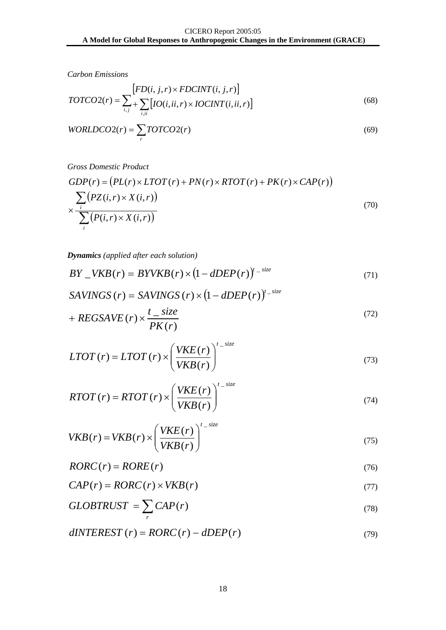*Carbon Emissions* 

$$
TOTCO2(r) = \sum_{i,j} \left[ FD(i, j, r) \times FDCINT(i, j, r) \right]
$$
\n
$$
(68)
$$

$$
WORLDCO2(r) = \sum_{r} TOTCO2(r)
$$
\n(69)

*Gross Domestic Product* 

$$
GDP(r) = (PL(r) \times LTOT(r) + PN(r) \times RTOT(r) + PK(r) \times CAP(r))
$$
  
 
$$
\times \frac{\sum_{i} (PZ(i,r) \times X(i,r))}{\sum_{i} (P(i,r) \times X(i,r))}
$$
 (70)

*Dynamics (applied after each solution)*

$$
BY \t\t\t\t\tVKB(r) = BYVKB(r) \times (1 - dDEP(r))^{t - size} \t\t\t(71)
$$

$$
SAVINGS(r) = SAVINGS(r) \times (1 - dDEP(r))^{t\_size}
$$
  
+ 
$$
REGSAVE(r) \times \frac{t\_size}{PK(r)}
$$
 (72)

$$
LTOT(r) = LTOT(r) \times \left(\frac{VKE(r)}{VKB(r)}\right)^{t - size}
$$
\n(73)

$$
RTOT(r) = RTOT(r) \times \left(\frac{VKE(r)}{VKB(r)}\right)^{t\_size}
$$
\n(74)

$$
VKB(r) = VKB(r) \times \left(\frac{VKE(r)}{VKB(r)}\right)^{t\_size}
$$
\n(75)

$$
RORC(r) = RORE(r) \tag{76}
$$

$$
CAP(r) = RORC(r) \times VKB(r)
$$
\n(77)

$$
GLOBTRUST = \sum_{r} CAP(r) \tag{78}
$$

$$
dINTEREST(r) = RORC(r) - dDEP(r)
$$
\n(79)